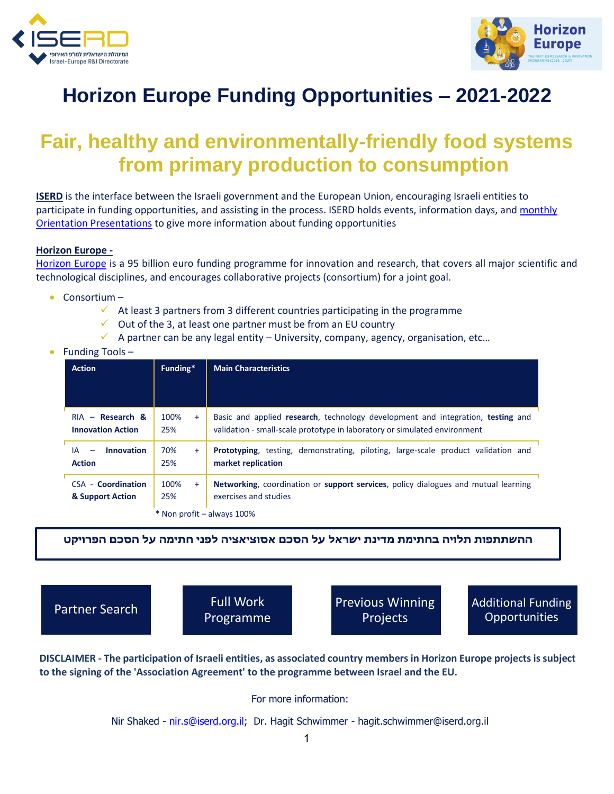



# **Horizon Europe Funding Opportunities – 2021-2022**

## **Fair, healthy and environmentally-friendly food systems from primary production to consumption**

**ISERD** is the interface between the Israeli government and the European Union, encouraging Israeli entities to participate in funding opportunities, and assisting in the process. ISERD holds events, information days, and monthly [Orientation Presentations](https://www.innovationisrael.org.il/ISERD/page/news-events) to give more information about funding opportunities

#### **Horizon Europe -**

[Horizon Europe](https://ec.europa.eu/info/horizon-europe_en) is a 95 billion euro funding programme for innovation and research, that covers all major scientific and technological disciplines, and encourages collaborative projects (consortium) for a joint goal.

- Consortium
	- $\checkmark$  At least 3 partners from 3 different countries participating in the programme
	- $\checkmark$  Out of the 3, at least one partner must be from an EU country
	- $\checkmark$  A partner can be any legal entity University, company, agency, organisation, etc...

|  |  | Funding Tools- |
|--|--|----------------|
|--|--|----------------|

| <b>Action</b>                                  | Funding*           | <b>Main Characteristics</b>                                                                                                                                  |
|------------------------------------------------|--------------------|--------------------------------------------------------------------------------------------------------------------------------------------------------------|
| $RIA - Research &$<br><b>Innovation Action</b> | 100%<br>$+$<br>25% | Basic and applied research, technology development and integration, testing and<br>validation - small-scale prototype in laboratory or simulated environment |
| <b>Innovation</b><br>IA<br><b>Action</b>       | 70%<br>$+$<br>25%  | <b>Prototyping</b> , testing, demonstrating, piloting, large-scale product validation and<br>market replication                                              |
| <b>CSA - Coordination</b><br>& Support Action  | 100%<br>$+$<br>25% | <b>Networking, coordination or support services, policy dialogues and mutual learning</b><br>exercises and studies                                           |
|                                                |                    | * Non profit – always 100%                                                                                                                                   |

**ההשתתפות תלויה בחתימת מדינת ישראל על הסכם אסוציאציה לפני חתימה על הסכם הפרויקט** 

Full Work Programme

[Partner Search](https://ec.europa.eu/info/funding-tenders/opportunities/portal/screen/how-to-participate/partner-search) **Previous Winning** Projects

Additional Funding **Opportunities** 

**DISCLAIMER - The participation of Israeli entities, as associated country members in Horizon Europe projects is subject to the signing of the 'Association Agreement' to the programme between Israel and the EU.** 

For more information:

Nir Shaked - [nir.s@iserd.org.il;](mailto:nir.s@iserd.org.il) Dr. Hagit Schwimmer - [hagit.schwimmer@iserd.org.il](mailto:hagit.schwimmer@iserd.org.il)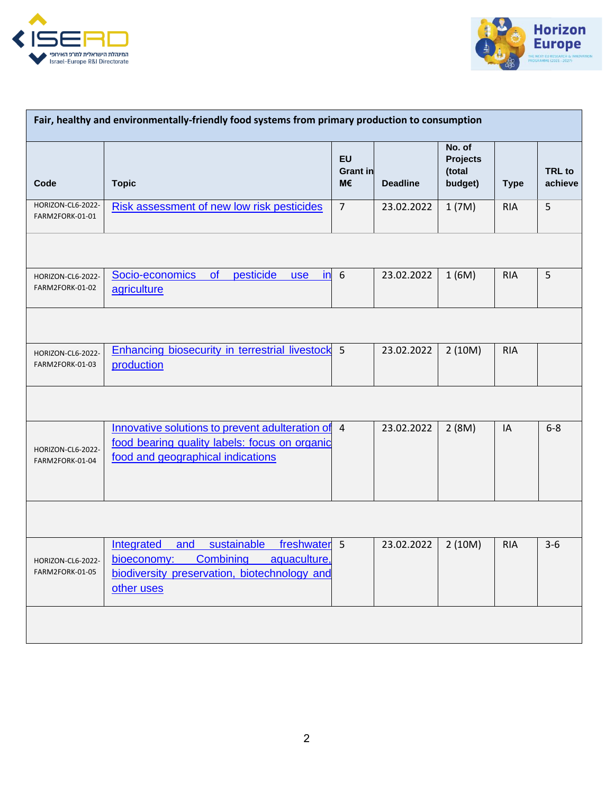



| Fair, healthy and environmentally-friendly food systems from primary production to consumption |                                                                                                                                                                   |                             |                 |                                                |             |                          |
|------------------------------------------------------------------------------------------------|-------------------------------------------------------------------------------------------------------------------------------------------------------------------|-----------------------------|-----------------|------------------------------------------------|-------------|--------------------------|
| Code                                                                                           | <b>Topic</b>                                                                                                                                                      | EU<br><b>Grant in</b><br>M€ | <b>Deadline</b> | No. of<br><b>Projects</b><br>(total<br>budget) | <b>Type</b> | <b>TRL</b> to<br>achieve |
| HORIZON-CL6-2022-<br>FARM2FORK-01-01                                                           | Risk assessment of new low risk pesticides                                                                                                                        | $\overline{7}$              | 23.02.2022      | 1(7M)                                          | <b>RIA</b>  | 5                        |
|                                                                                                |                                                                                                                                                                   |                             |                 |                                                |             |                          |
| HORIZON-CL6-2022-<br>FARM2FORK-01-02                                                           | Socio-economics<br>of<br>pesticide<br>in<br><b>use</b><br>agriculture                                                                                             | 6                           | 23.02.2022      | 1(6M)                                          | <b>RIA</b>  | 5                        |
|                                                                                                |                                                                                                                                                                   |                             |                 |                                                |             |                          |
| HORIZON-CL6-2022-<br>FARM2FORK-01-03                                                           | Enhancing biosecurity in terrestrial livestock 5<br>production                                                                                                    |                             | 23.02.2022      | 2(10M)                                         | <b>RIA</b>  |                          |
|                                                                                                |                                                                                                                                                                   |                             |                 |                                                |             |                          |
| HORIZON-CL6-2022-<br>FARM2FORK-01-04                                                           | Innovative solutions to prevent adulteration of 4<br>food bearing quality labels: focus on organic<br>food and geographical indications                           |                             | 23.02.2022      | 2(8M)                                          | IA          | $6 - 8$                  |
|                                                                                                |                                                                                                                                                                   |                             |                 |                                                |             |                          |
| HORIZON-CL6-2022-<br>FARM2FORK-01-05                                                           | sustainable<br>freshwater 5<br><b>Integrated</b><br>and<br>Combining<br>aquaculture,<br>bioeconomy:<br>biodiversity preservation, biotechnology and<br>other uses |                             | 23.02.2022      | 2(10M)                                         | <b>RIA</b>  | $3-6$                    |
|                                                                                                |                                                                                                                                                                   |                             |                 |                                                |             |                          |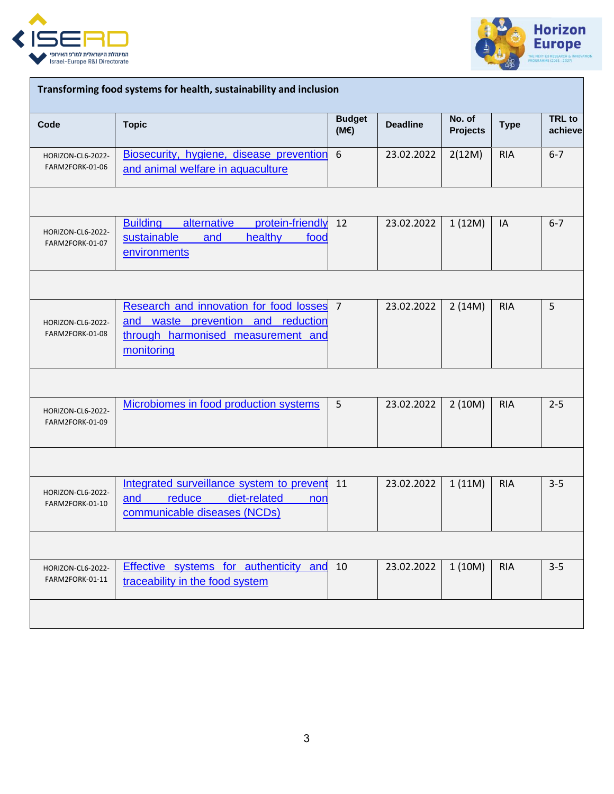



| Transforming food systems for health, sustainability and inclusion |                                                                                                                                   |                       |                 |                           |             |                          |  |
|--------------------------------------------------------------------|-----------------------------------------------------------------------------------------------------------------------------------|-----------------------|-----------------|---------------------------|-------------|--------------------------|--|
| Code                                                               | <b>Topic</b>                                                                                                                      | <b>Budget</b><br>(ME) | <b>Deadline</b> | No. of<br><b>Projects</b> | <b>Type</b> | <b>TRL</b> to<br>achieve |  |
| HORIZON-CL6-2022-<br>FARM2FORK-01-06                               | Biosecurity, hygiene, disease prevention<br>and animal welfare in aquaculture                                                     | 6                     | 23.02.2022      | 2(12M)                    | <b>RIA</b>  | $6 - 7$                  |  |
|                                                                    |                                                                                                                                   |                       |                 |                           |             |                          |  |
| HORIZON-CL6-2022-<br>FARM2FORK-01-07                               | <b>Building</b><br>alternative<br>protein-friendly<br>sustainable<br>healthy<br>and<br>food<br>environments                       | 12                    | 23.02.2022      | 1(12M)                    | IA          | $6 - 7$                  |  |
|                                                                    |                                                                                                                                   |                       |                 |                           |             |                          |  |
| HORIZON-CL6-2022-<br>FARM2FORK-01-08                               | Research and innovation for food losses<br>and waste prevention and reduction<br>through harmonised measurement and<br>monitoring | $\overline{7}$        | 23.02.2022      | 2(14M)                    | <b>RIA</b>  | 5                        |  |
|                                                                    |                                                                                                                                   |                       |                 |                           |             |                          |  |
| HORIZON-CL6-2022-<br>FARM2FORK-01-09                               | Microbiomes in food production systems                                                                                            | 5                     | 23.02.2022      | 2(10M)                    | <b>RIA</b>  | $2 - 5$                  |  |
|                                                                    |                                                                                                                                   |                       |                 |                           |             |                          |  |
| HORIZON-CL6-2022-<br>FARM2FORK-01-10                               | Integrated surveillance system to prevent<br>and<br>diet-related<br>reduce<br>non<br>communicable diseases (NCDs)                 | 11                    | 23.02.2022      | 1(11M)                    | <b>RIA</b>  | $3 - 5$                  |  |
|                                                                    |                                                                                                                                   |                       |                 |                           |             |                          |  |
| HORIZON-CL6-2022-<br>FARM2FORK-01-11                               | Effective systems for authenticity and<br>traceability in the food system                                                         | 10                    | 23.02.2022      | 1(10M)                    | <b>RIA</b>  | $3 - 5$                  |  |
|                                                                    |                                                                                                                                   |                       |                 |                           |             |                          |  |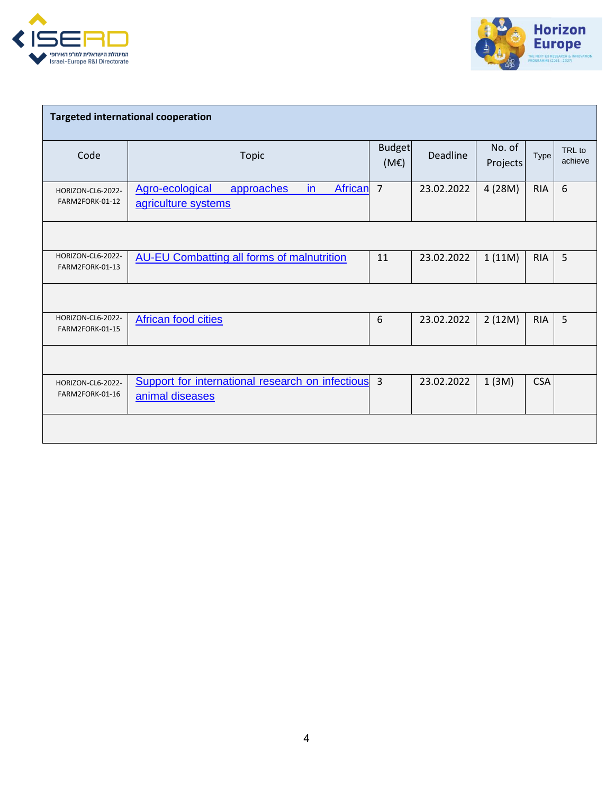



| <b>Targeted international cooperation</b> |                                                                                  |                       |            |                    |            |                   |
|-------------------------------------------|----------------------------------------------------------------------------------|-----------------------|------------|--------------------|------------|-------------------|
| Code                                      | <b>Topic</b>                                                                     | <b>Budget</b><br>(ME) | Deadline   | No. of<br>Projects | Type       | TRL to<br>achieve |
| HORIZON-CL6-2022-<br>FARM2FORK-01-12      | $\mathsf{in}$<br>Agro-ecological<br>African<br>approaches<br>agriculture systems | $\overline{7}$        | 23.02.2022 | 4 (28M)            | <b>RIA</b> | 6                 |
|                                           |                                                                                  |                       |            |                    |            |                   |
| HORIZON-CL6-2022-<br>FARM2FORK-01-13      | <b>AU-EU Combatting all forms of malnutrition</b>                                | 11                    | 23.02.2022 | 1(11M)             | <b>RIA</b> | 5                 |
|                                           |                                                                                  |                       |            |                    |            |                   |
| HORIZON-CL6-2022-<br>FARM2FORK-01-15      | <b>African food cities</b>                                                       | 6                     | 23.02.2022 | 2(12M)             | <b>RIA</b> | 5                 |
|                                           |                                                                                  |                       |            |                    |            |                   |
| HORIZON-CL6-2022-<br>FARM2FORK-01-16      | Support for international research on infectious 3<br>animal diseases            |                       | 23.02.2022 | 1(3M)              | <b>CSA</b> |                   |
|                                           |                                                                                  |                       |            |                    |            |                   |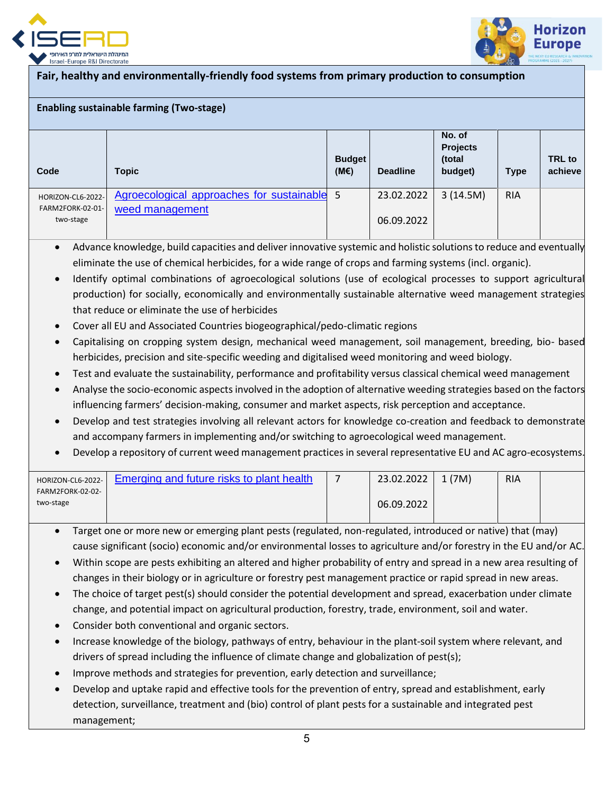



## **Fair, healthy and environmentally-friendly food systems from primary production to consumption**

### **Enabling sustainable farming (Two-stage)**

| Code                          | <b>Topic</b>                                | <b>Budget</b><br>(ME) | <b>Deadline</b> | No. of<br><b>Projects</b><br>(total<br>budget) | <b>Type</b> | <b>TRL</b> to<br>achieve |
|-------------------------------|---------------------------------------------|-----------------------|-----------------|------------------------------------------------|-------------|--------------------------|
| HORIZON-CL6-2022-             | Agroecological approaches for sustainable 5 |                       | 23.02.2022      | 3(14.5M)                                       | <b>RIA</b>  |                          |
| FARM2FORK-02-01-<br>two-stage | weed management                             |                       | 06.09.2022      |                                                |             |                          |

- Advance knowledge, build capacities and deliver innovative systemic and holistic solutions to reduce and eventually eliminate the use of chemical herbicides, for a wide range of crops and farming systems (incl. organic).
- Identify optimal combinations of agroecological solutions (use of ecological processes to support agricultural production) for socially, economically and environmentally sustainable alternative weed management strategies that reduce or eliminate the use of herbicides
- Cover all EU and Associated Countries biogeographical/pedo-climatic regions
- Capitalising on cropping system design, mechanical weed management, soil management, breeding, bio- based herbicides, precision and site-specific weeding and digitalised weed monitoring and weed biology.
- Test and evaluate the sustainability, performance and profitability versus classical chemical weed management
- Analyse the socio-economic aspects involved in the adoption of alternative weeding strategies based on the factors influencing farmers' decision-making, consumer and market aspects, risk perception and acceptance.
- Develop and test strategies involving all relevant actors for knowledge co-creation and feedback to demonstrate and accompany farmers in implementing and/or switching to agroecological weed management.
- Develop a repository of current weed management practices in several representative EU and AC agro-ecosystems.

| HORIZON-CL6-2022- | Emerging and future risks to plant health | 23.02.2022 | . (7M) | <b>RIA</b> |  |
|-------------------|-------------------------------------------|------------|--------|------------|--|
| FARM2FORK-02-02-  |                                           |            |        |            |  |
| two-stage         |                                           | 06.09.2022 |        |            |  |
|                   |                                           |            |        |            |  |

- Target one or more new or emerging plant pests (regulated, non-regulated, introduced or native) that (may) cause significant (socio) economic and/or environmental losses to agriculture and/or forestry in the EU and/or AC.
- Within scope are pests exhibiting an altered and higher probability of entry and spread in a new area resulting of changes in their biology or in agriculture or forestry pest management practice or rapid spread in new areas.
- The choice of target pest(s) should consider the potential development and spread, exacerbation under climate change, and potential impact on agricultural production, forestry, trade, environment, soil and water.
- Consider both conventional and organic sectors.
- Increase knowledge of the biology, pathways of entry, behaviour in the plant-soil system where relevant, and drivers of spread including the influence of climate change and globalization of pest(s);
- Improve methods and strategies for prevention, early detection and surveillance;
- Develop and uptake rapid and effective tools for the prevention of entry, spread and establishment, early detection, surveillance, treatment and (bio) control of plant pests for a sustainable and integrated pest management;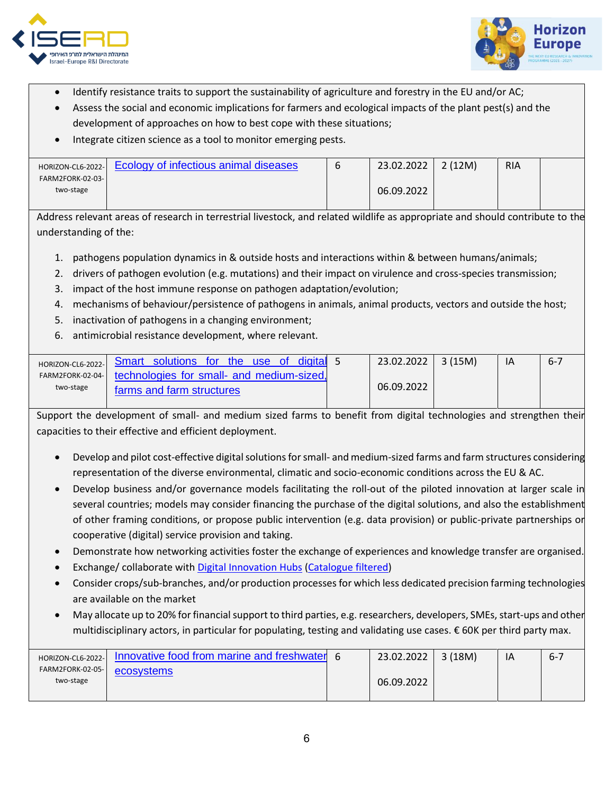



- Identify resistance traits to support the sustainability of agriculture and forestry in the EU and/or AC;
- Assess the social and economic implications for farmers and ecological impacts of the plant pest(s) and the development of approaches on how to best cope with these situations;
- Integrate citizen science as a tool to monitor emerging pests.

| HORIZON-CL6-2022-        | Ecology of infectious animal diseases | 23.02.2022 | 2(12M) | <b>RIA</b> |  |
|--------------------------|---------------------------------------|------------|--------|------------|--|
| <b>FARM2FORK-02-03-1</b> |                                       |            |        |            |  |
| two-stage                |                                       | 06.09.2022 |        |            |  |
|                          |                                       |            |        |            |  |

Address relevant areas of research in terrestrial livestock, and related wildlife as appropriate and should contribute to the understanding of the:

- 1. pathogens population dynamics in & outside hosts and interactions within & between humans/animals;
- 2. drivers of pathogen evolution (e.g. mutations) and their impact on virulence and cross-species transmission;
- 3. impact of the host immune response on pathogen adaptation/evolution;
- 4. mechanisms of behaviour/persistence of pathogens in animals, animal products, vectors and outside the host;
- 5. inactivation of pathogens in a changing environment;
- 6. antimicrobial resistance development, where relevant.

| HORIZON-CL6-2022- | digital 5<br>Smart solutions for the use of | 23.02.2022 | 3 (15M) | $-6 - 7$ |
|-------------------|---------------------------------------------|------------|---------|----------|
| FARM2FORK-02-04-  | technologies for small- and medium-sized,   |            |         |          |
| two-stage         | farms and farm structures                   | 06.09.2022 |         |          |
|                   |                                             |            |         |          |

Support the development of small- and medium sized farms to benefit from digital technologies and strengthen their capacities to their effective and efficient deployment.

- Develop and pilot cost-effective digital solutions for small- and medium-sized farms and farm structures considering representation of the diverse environmental, climatic and socio-economic conditions across the EU & AC.
- Develop business and/or governance models facilitating the roll-out of the piloted innovation at larger scale in several countries; models may consider financing the purchase of the digital solutions, and also the establishment of other framing conditions, or propose public intervention (e.g. data provision) or public-private partnerships or cooperative (digital) service provision and taking.
- Demonstrate how networking activities foster the exchange of experiences and knowledge transfer are organised.
- Exchange/ collaborate with [Digital Innovation Hubs](https://s3platform.jrc.ec.europa.eu/digital-innovation-hubs) [\(Catalogue filtered\)](https://s3platform.jrc.ec.europa.eu/digital-innovation-hubs-tool)
- Consider crops/sub-branches, and/or production processes for which less dedicated precision farming technologies are available on the market
- May allocate up to 20% forfinancial support to third parties, e.g. researchers, developers, SMEs, start-ups and other multidisciplinary actors, in particular for populating, testing and validating use cases. € 60K per third party max.

| HORIZON-CL6-2022- | Innovative food from marine and freshwater 6 | 23.02.2022 | 3(18M) | ١A | $6 - 7$ |
|-------------------|----------------------------------------------|------------|--------|----|---------|
| FARM2FORK-02-05-  | ecosystems                                   |            |        |    |         |
| two-stage         |                                              | 06.09.2022 |        |    |         |
|                   |                                              |            |        |    |         |